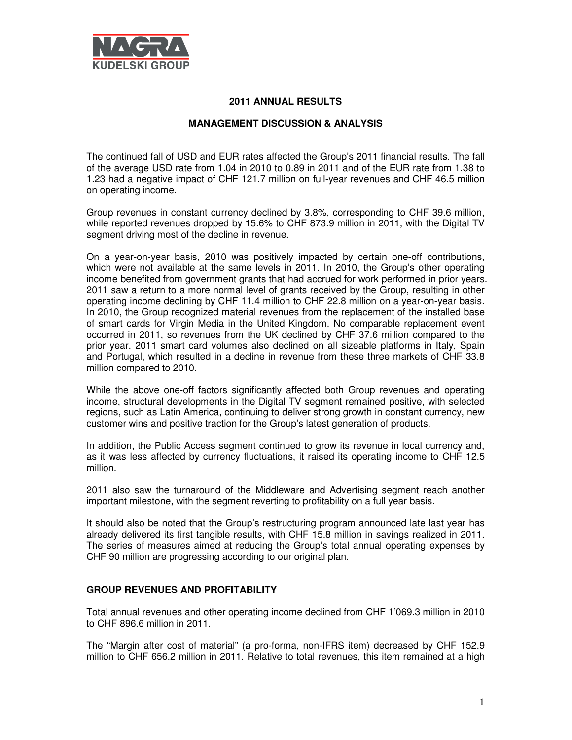

### **2011 ANNUAL RESULTS**

# **MANAGEMENT DISCUSSION & ANALYSIS**

The continued fall of USD and EUR rates affected the Group's 2011 financial results. The fall of the average USD rate from 1.04 in 2010 to 0.89 in 2011 and of the EUR rate from 1.38 to 1.23 had a negative impact of CHF 121.7 million on full-year revenues and CHF 46.5 million on operating income.

Group revenues in constant currency declined by 3.8%, corresponding to CHF 39.6 million, while reported revenues dropped by 15.6% to CHF 873.9 million in 2011, with the Digital TV segment driving most of the decline in revenue.

On a year-on-year basis, 2010 was positively impacted by certain one-off contributions, which were not available at the same levels in 2011. In 2010, the Group's other operating income benefited from government grants that had accrued for work performed in prior years. 2011 saw a return to a more normal level of grants received by the Group, resulting in other operating income declining by CHF 11.4 million to CHF 22.8 million on a year-on-year basis. In 2010, the Group recognized material revenues from the replacement of the installed base of smart cards for Virgin Media in the United Kingdom. No comparable replacement event occurred in 2011, so revenues from the UK declined by CHF 37.6 million compared to the prior year. 2011 smart card volumes also declined on all sizeable platforms in Italy, Spain and Portugal, which resulted in a decline in revenue from these three markets of CHF 33.8 million compared to 2010.

While the above one-off factors significantly affected both Group revenues and operating income, structural developments in the Digital TV segment remained positive, with selected regions, such as Latin America, continuing to deliver strong growth in constant currency, new customer wins and positive traction for the Group's latest generation of products.

In addition, the Public Access segment continued to grow its revenue in local currency and, as it was less affected by currency fluctuations, it raised its operating income to CHF 12.5 million.

2011 also saw the turnaround of the Middleware and Advertising segment reach another important milestone, with the segment reverting to profitability on a full year basis.

It should also be noted that the Group's restructuring program announced late last year has already delivered its first tangible results, with CHF 15.8 million in savings realized in 2011. The series of measures aimed at reducing the Group's total annual operating expenses by CHF 90 million are progressing according to our original plan.

#### **GROUP REVENUES AND PROFITABILITY**

Total annual revenues and other operating income declined from CHF 1'069.3 million in 2010 to CHF 896.6 million in 2011.

The "Margin after cost of material" (a pro-forma, non-IFRS item) decreased by CHF 152.9 million to CHF 656.2 million in 2011. Relative to total revenues, this item remained at a high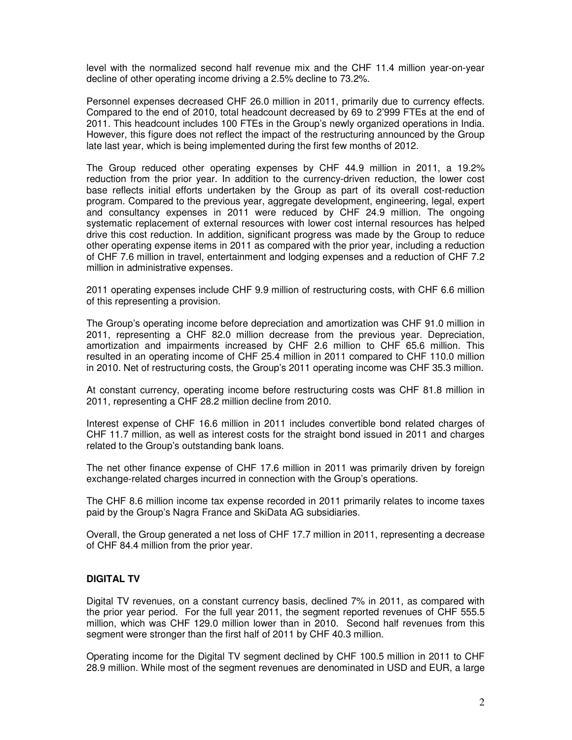level with the normalized second half revenue mix and the CHF 11.4 million year-on-year decline of other operating income driving a 2.5% decline to 73.2%.

Personnel expenses decreased CHF 26.0 million in 2011, primarily due to currency effects. Compared to the end of 2010, total headcount decreased by 69 to 2'999 FTEs at the end of 2011. This headcount includes 100 FTEs in the Group's newly organized operations in India. However, this figure does not reflect the impact of the restructuring announced by the Group late last year, which is being implemented during the first few months of 2012.

The Group reduced other operating expenses by CHF 44.9 million in 2011, a 19.2% reduction from the prior year. In addition to the currency-driven reduction, the lower cost base reflects initial efforts undertaken by the Group as part of its overall cost-reduction program. Compared to the previous year, aggregate development, engineering, legal, expert and consultancy expenses in 2011 were reduced by CHF 24.9 million. The ongoing systematic replacement of external resources with lower cost internal resources has helped drive this cost reduction. In addition, significant progress was made by the Group to reduce other operating expense items in 2011 as compared with the prior year, including a reduction of CHF 7.6 million in travel, entertainment and lodging expenses and a reduction of CHF 7.2 million in administrative expenses.

2011 operating expenses include CHF 9.9 million of restructuring costs, with CHF 6.6 million of this representing a provision.

The Group's operating income before depreciation and amortization was CHF 91.0 million in 2011, representing a CHF 82.0 million decrease from the previous year. Depreciation, amortization and impairments increased by CHF 2.6 million to CHF 65.6 million. This resulted in an operating income of CHF 25.4 million in 2011 compared to CHF 110.0 million in 2010. Net of restructuring costs, the Group's 2011 operating income was CHF 35.3 million.

At constant currency, operating income before restructuring costs was CHF 81.8 million in 2011, representing a CHF 28.2 million decline from 2010.

Interest expense of CHF 16.6 million in 2011 includes convertible bond related charges of CHF 11.7 million, as well as interest costs for the straight bond issued in 2011 and charges related to the Group's outstanding bank loans.

The net other finance expense of CHF 17.6 million in 2011 was primarily driven by foreign exchange-related charges incurred in connection with the Group's operations.

The CHF 8.6 million income tax expense recorded in 2011 primarily relates to income taxes paid by the Group's Nagra France and SkiData AG subsidiaries.

Overall, the Group generated a net loss of CHF 17.7 million in 2011, representing a decrease of CHF 84.4 million from the prior year.

#### **DIGITAL TV**

Digital TV revenues, on a constant currency basis, declined 7% in 2011, as compared with the prior year period. For the full year 2011, the segment reported revenues of CHF 555.5 million, which was CHF 129.0 million lower than in 2010. Second half revenues from this segment were stronger than the first half of 2011 by CHF 40.3 million.

Operating income for the Digital TV segment declined by CHF 100.5 million in 2011 to CHF 28.9 million. While most of the segment revenues are denominated in USD and EUR, a large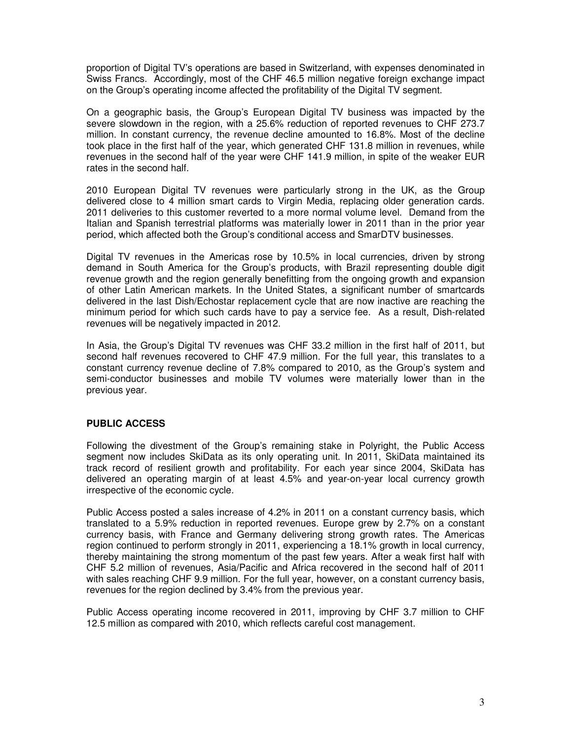proportion of Digital TV's operations are based in Switzerland, with expenses denominated in Swiss Francs. Accordingly, most of the CHF 46.5 million negative foreign exchange impact on the Group's operating income affected the profitability of the Digital TV segment.

On a geographic basis, the Group's European Digital TV business was impacted by the severe slowdown in the region, with a 25.6% reduction of reported revenues to CHF 273.7 million. In constant currency, the revenue decline amounted to 16.8%. Most of the decline took place in the first half of the year, which generated CHF 131.8 million in revenues, while revenues in the second half of the year were CHF 141.9 million, in spite of the weaker EUR rates in the second half.

2010 European Digital TV revenues were particularly strong in the UK, as the Group delivered close to 4 million smart cards to Virgin Media, replacing older generation cards. 2011 deliveries to this customer reverted to a more normal volume level. Demand from the Italian and Spanish terrestrial platforms was materially lower in 2011 than in the prior year period, which affected both the Group's conditional access and SmarDTV businesses.

Digital TV revenues in the Americas rose by 10.5% in local currencies, driven by strong demand in South America for the Group's products, with Brazil representing double digit revenue growth and the region generally benefitting from the ongoing growth and expansion of other Latin American markets. In the United States, a significant number of smartcards delivered in the last Dish/Echostar replacement cycle that are now inactive are reaching the minimum period for which such cards have to pay a service fee. As a result, Dish-related revenues will be negatively impacted in 2012.

In Asia, the Group's Digital TV revenues was CHF 33.2 million in the first half of 2011, but second half revenues recovered to CHF 47.9 million. For the full year, this translates to a constant currency revenue decline of 7.8% compared to 2010, as the Group's system and semi-conductor businesses and mobile TV volumes were materially lower than in the previous year.

### **PUBLIC ACCESS**

Following the divestment of the Group's remaining stake in Polyright, the Public Access segment now includes SkiData as its only operating unit. In 2011, SkiData maintained its track record of resilient growth and profitability. For each year since 2004, SkiData has delivered an operating margin of at least 4.5% and year-on-year local currency growth irrespective of the economic cycle.

Public Access posted a sales increase of 4.2% in 2011 on a constant currency basis, which translated to a 5.9% reduction in reported revenues. Europe grew by 2.7% on a constant currency basis, with France and Germany delivering strong growth rates. The Americas region continued to perform strongly in 2011, experiencing a 18.1% growth in local currency, thereby maintaining the strong momentum of the past few years. After a weak first half with CHF 5.2 million of revenues, Asia/Pacific and Africa recovered in the second half of 2011 with sales reaching CHF 9.9 million. For the full year, however, on a constant currency basis, revenues for the region declined by 3.4% from the previous year.

Public Access operating income recovered in 2011, improving by CHF 3.7 million to CHF 12.5 million as compared with 2010, which reflects careful cost management.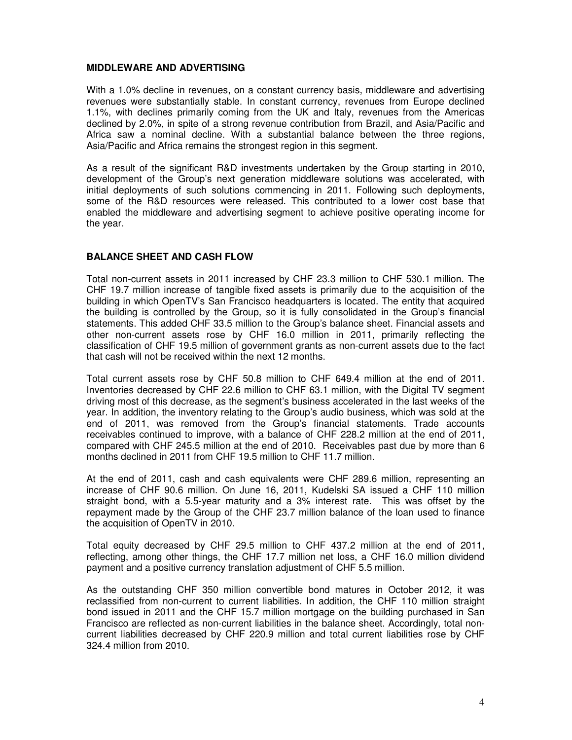### **MIDDLEWARE AND ADVERTISING**

With a 1.0% decline in revenues, on a constant currency basis, middleware and advertising revenues were substantially stable. In constant currency, revenues from Europe declined 1.1%, with declines primarily coming from the UK and Italy, revenues from the Americas declined by 2.0%, in spite of a strong revenue contribution from Brazil, and Asia/Pacific and Africa saw a nominal decline. With a substantial balance between the three regions, Asia/Pacific and Africa remains the strongest region in this segment.

As a result of the significant R&D investments undertaken by the Group starting in 2010, development of the Group's next generation middleware solutions was accelerated, with initial deployments of such solutions commencing in 2011. Following such deployments, some of the R&D resources were released. This contributed to a lower cost base that enabled the middleware and advertising segment to achieve positive operating income for the year.

# **BALANCE SHEET AND CASH FLOW**

Total non-current assets in 2011 increased by CHF 23.3 million to CHF 530.1 million. The CHF 19.7 million increase of tangible fixed assets is primarily due to the acquisition of the building in which OpenTV's San Francisco headquarters is located. The entity that acquired the building is controlled by the Group, so it is fully consolidated in the Group's financial statements. This added CHF 33.5 million to the Group's balance sheet. Financial assets and other non-current assets rose by CHF 16.0 million in 2011, primarily reflecting the classification of CHF 19.5 million of government grants as non-current assets due to the fact that cash will not be received within the next 12 months.

Total current assets rose by CHF 50.8 million to CHF 649.4 million at the end of 2011. Inventories decreased by CHF 22.6 million to CHF 63.1 million, with the Digital TV segment driving most of this decrease, as the segment's business accelerated in the last weeks of the year. In addition, the inventory relating to the Group's audio business, which was sold at the end of 2011, was removed from the Group's financial statements. Trade accounts receivables continued to improve, with a balance of CHF 228.2 million at the end of 2011, compared with CHF 245.5 million at the end of 2010. Receivables past due by more than 6 months declined in 2011 from CHF 19.5 million to CHF 11.7 million.

At the end of 2011, cash and cash equivalents were CHF 289.6 million, representing an increase of CHF 90.6 million. On June 16, 2011, Kudelski SA issued a CHF 110 million straight bond, with a 5.5-year maturity and a 3% interest rate. This was offset by the repayment made by the Group of the CHF 23.7 million balance of the loan used to finance the acquisition of OpenTV in 2010.

Total equity decreased by CHF 29.5 million to CHF 437.2 million at the end of 2011, reflecting, among other things, the CHF 17.7 million net loss, a CHF 16.0 million dividend payment and a positive currency translation adjustment of CHF 5.5 million.

As the outstanding CHF 350 million convertible bond matures in October 2012, it was reclassified from non-current to current liabilities. In addition, the CHF 110 million straight bond issued in 2011 and the CHF 15.7 million mortgage on the building purchased in San Francisco are reflected as non-current liabilities in the balance sheet. Accordingly, total noncurrent liabilities decreased by CHF 220.9 million and total current liabilities rose by CHF 324.4 million from 2010.